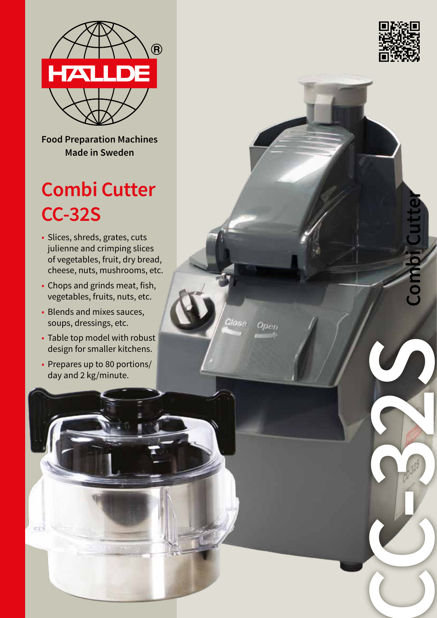

**Food Preparation Machines Made in Sweden**

# **Combi Cutter CC-32S**

- Slices, shreds, grates, cuts julienne and crimping slices of vegetables, fruit, dry bread, cheese, nuts, mushrooms, etc.
- Chops and grinds meat, fish, vegetables, fruits, nuts, etc.
- Blends and mixes sauces, soups, dressings, etc.
- Table top model with robust design for smaller kitchens.

Masa

Open

• Prepares up to 80 portions/ day and 2 kg/minute.

**CE** 



**Combi Cutter**

**CC-32S**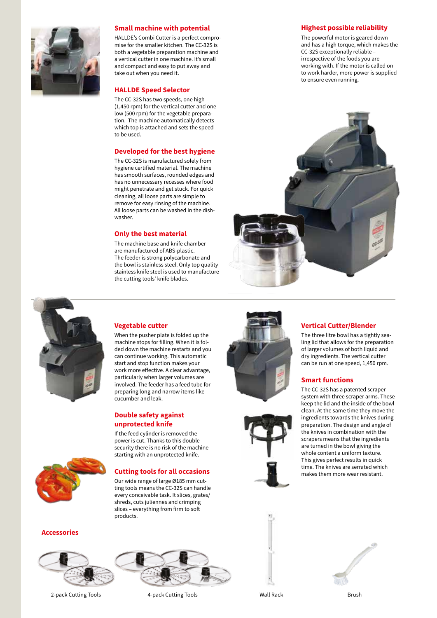

### **Small machine with potential**

HALLDE's Combi Cutter is a perfect compromise for the smaller kitchen. The CC-32S is both a vegetable preparation machine and a vertical cutter in one machine. It's small and compact and easy to put away and take out when you need it.

### **HALLDE Speed Selector**

The CC-32S has two speeds, one high (1,450 rpm) for the vertical cutter and one low (500 rpm) for the vegetable preparation. The machine automatically detects which top is attached and sets the speed to be used.

### **Developed for the best hygiene**

The CC-32S is manufactured solely from hygiene certified material. The machine has smooth surfaces, rounded edges and has no unnecessary recesses where food might penetrate and get stuck. For quick cleaning, all loose parts are simple to remove for easy rinsing of the machine. All loose parts can be washed in the dishwasher.

### **Only the best material**

The machine base and knife chamber are manufactured of ABS-plastic. The feeder is strong polycarbonate and the bowl is stainless steel. Only top quality stainless knife steel is used to manufacture the cutting tools' knife blades.

### **Highest possible reliability**

The powerful motor is geared down and has a high torque, which makes the CC-32S exceptionally reliable – irrespective of the foods you are working with. If the motor is called on to work harder, more power is supplied to ensure even running.





### **Vegetable cutter**

When the pusher plate is folded up the machine stops for filling. When it is folded down the machine restarts and you can continue working. This automatic start and stop function makes your work more effective. A clear advantage, particularly when larger volumes are involved. The feeder has a feed tube for preparing long and narrow items like cucumber and leak.

### **Double safety against unprotected knife**

If the feed cylinder is removed the power is cut. Thanks to this double security there is no risk of the machine starting with an unprotected knife.

### **Cutting tools for all occasions**

Our wide range of large Ø185 mm cutting tools means the CC-32S can handle every conceivable task. It slices, grates/ shreds, cuts juliennes and crimping slices – everything from firm to soft products.





The three litre bowl has a tightly sealing lid that allows for the preparation of larger volumes of both liquid and dry ingredients. The vertical cutter can be run at one speed, 1,450 rpm.

### **Smart functions**

The CC-32S has a patented scraper system with three scraper arms. These keep the lid and the inside of the bowl clean. At the same time they move the ingredients towards the knives during preparation. The design and angle of the knives in combination with the scrapers means that the ingredients are turned in the bowl giving the whole content a uniform texture. This gives perfect results in quick time. The knives are serrated which makes them more wear resistant.



### **Accessories**



2-pack Cutting Tools **4-pack Cutting Tools** Wall Rack Wall Rack Brush



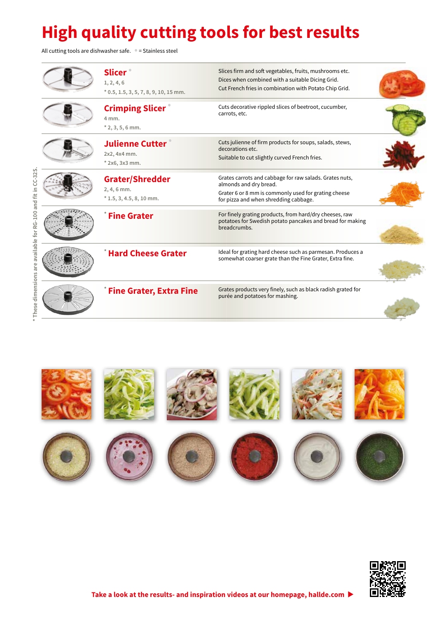## **High quality cutting tools for best results**

All cutting tools are dishwasher safe. **•** = Stainless steel

**\* These dimensions are available for RG-100 and fit in CC-32S.**

\* These dimensions are available for RG-100 and fit in CC-32S.

| <b>Slicer</b><br>1, 2, 4, 6<br>$*$ 0.5, 1.5, 3, 5, 7, 8, 9, 10, 15 mm. | Slices firm and soft vegetables, fruits, mushrooms etc.<br>Dices when combined with a suitable Dicing Grid.<br>Cut French fries in combination with Potato Chip Grid.              |  |
|------------------------------------------------------------------------|------------------------------------------------------------------------------------------------------------------------------------------------------------------------------------|--|
| <b>Crimping Slicer</b><br>4 mm.<br>$*$ 2, 3, 5, 6 mm.                  | Cuts decorative rippled slices of beetroot, cucumber,<br>carrots, etc.                                                                                                             |  |
| <b>Julienne Cutter</b><br>2x2, 4x4 mm.<br>* 2x6, 3x3 mm.               | Cuts julienne of firm products for soups, salads, stews,<br>decorations etc.<br>Suitable to cut slightly curved French fries.                                                      |  |
| <b>Grater/Shredder</b><br>$2, 4, 6$ mm.<br>$*$ 1.5, 3, 4.5, 8, 10 mm.  | Grates carrots and cabbage for raw salads. Grates nuts,<br>almonds and dry bread.<br>Grater 6 or 8 mm is commonly used for grating cheese<br>for pizza and when shredding cabbage. |  |
| <b>Fine Grater</b>                                                     | For finely grating products, from hard/dry cheeses, raw<br>potatoes for Swedish potato pancakes and bread for making<br>breadcrumbs.                                               |  |
| <b>Hard Cheese Grater</b>                                              | Ideal for grating hard cheese such as parmesan. Produces a<br>somewhat coarser grate than the Fine Grater, Extra fine.                                                             |  |
| <b>Fine Grater, Extra Fine</b>                                         | Grates products very finely, such as black radish grated for<br>purée and potatoes for mashing.                                                                                    |  |